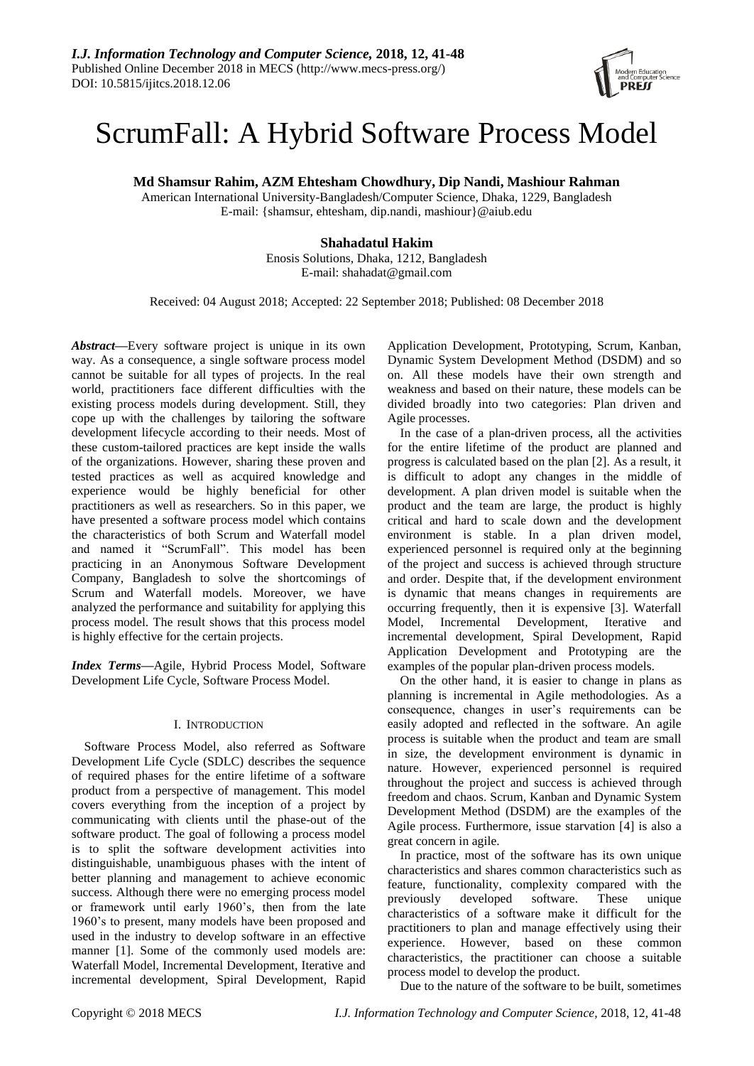

# ScrumFall: A Hybrid Software Process Model

**Md Shamsur Rahim, AZM Ehtesham Chowdhury, Dip Nandi, Mashiour Rahman**

American International University-Bangladesh/Computer Science, Dhaka, 1229, Bangladesh E-mail: {shamsur, ehtesham, dip.nandi, mashiour}@aiub.edu

## **Shahadatul Hakim**

Enosis Solutions, Dhaka, 1212, Bangladesh E-mail: shahadat@gmail.com

Received: 04 August 2018; Accepted: 22 September 2018; Published: 08 December 2018

*Abstract***—**Every software project is unique in its own way. As a consequence, a single software process model cannot be suitable for all types of projects. In the real world, practitioners face different difficulties with the existing process models during development. Still, they cope up with the challenges by tailoring the software development lifecycle according to their needs. Most of these custom-tailored practices are kept inside the walls of the organizations. However, sharing these proven and tested practices as well as acquired knowledge and experience would be highly beneficial for other practitioners as well as researchers. So in this paper, we have presented a software process model which contains the characteristics of both Scrum and Waterfall model and named it "ScrumFall". This model has been practicing in an Anonymous Software Development Company, Bangladesh to solve the shortcomings of Scrum and Waterfall models. Moreover, we have analyzed the performance and suitability for applying this process model. The result shows that this process model is highly effective for the certain projects.

*Index Terms***—**Agile, Hybrid Process Model, Software Development Life Cycle, Software Process Model.

## I. INTRODUCTION

Software Process Model, also referred as Software Development Life Cycle (SDLC) describes the sequence of required phases for the entire lifetime of a software product from a perspective of management. This model covers everything from the inception of a project by communicating with clients until the phase-out of the software product. The goal of following a process model is to split the software development activities into distinguishable, unambiguous phases with the intent of better planning and management to achieve economic success. Although there were no emerging process model or framework until early 1960's, then from the late 1960's to present, many models have been proposed and used in the industry to develop software in an effective manner [1]. Some of the commonly used models are: Waterfall Model, Incremental Development, Iterative and incremental development, Spiral Development, Rapid Application Development, Prototyping, Scrum, Kanban, Dynamic System Development Method (DSDM) and so on. All these models have their own strength and weakness and based on their nature, these models can be divided broadly into two categories: Plan driven and Agile processes.

In the case of a plan-driven process, all the activities for the entire lifetime of the product are planned and progress is calculated based on the plan [2]. As a result, it is difficult to adopt any changes in the middle of development. A plan driven model is suitable when the product and the team are large, the product is highly critical and hard to scale down and the development environment is stable. In a plan driven model, experienced personnel is required only at the beginning of the project and success is achieved through structure and order. Despite that, if the development environment is dynamic that means changes in requirements are occurring frequently, then it is expensive [3]. Waterfall Model, Incremental Development, Iterative and incremental development, Spiral Development, Rapid Application Development and Prototyping are the examples of the popular plan-driven process models.

On the other hand, it is easier to change in plans as planning is incremental in Agile methodologies. As a consequence, changes in user's requirements can be easily adopted and reflected in the software. An agile process is suitable when the product and team are small in size, the development environment is dynamic in nature. However, experienced personnel is required throughout the project and success is achieved through freedom and chaos. Scrum, Kanban and Dynamic System Development Method (DSDM) are the examples of the Agile process. Furthermore, issue starvation [4] is also a great concern in agile.

In practice, most of the software has its own unique characteristics and shares common characteristics such as feature, functionality, complexity compared with the previously developed software. These unique characteristics of a software make it difficult for the practitioners to plan and manage effectively using their experience. However, based on these common characteristics, the practitioner can choose a suitable process model to develop the product.

Due to the nature of the software to be built, sometimes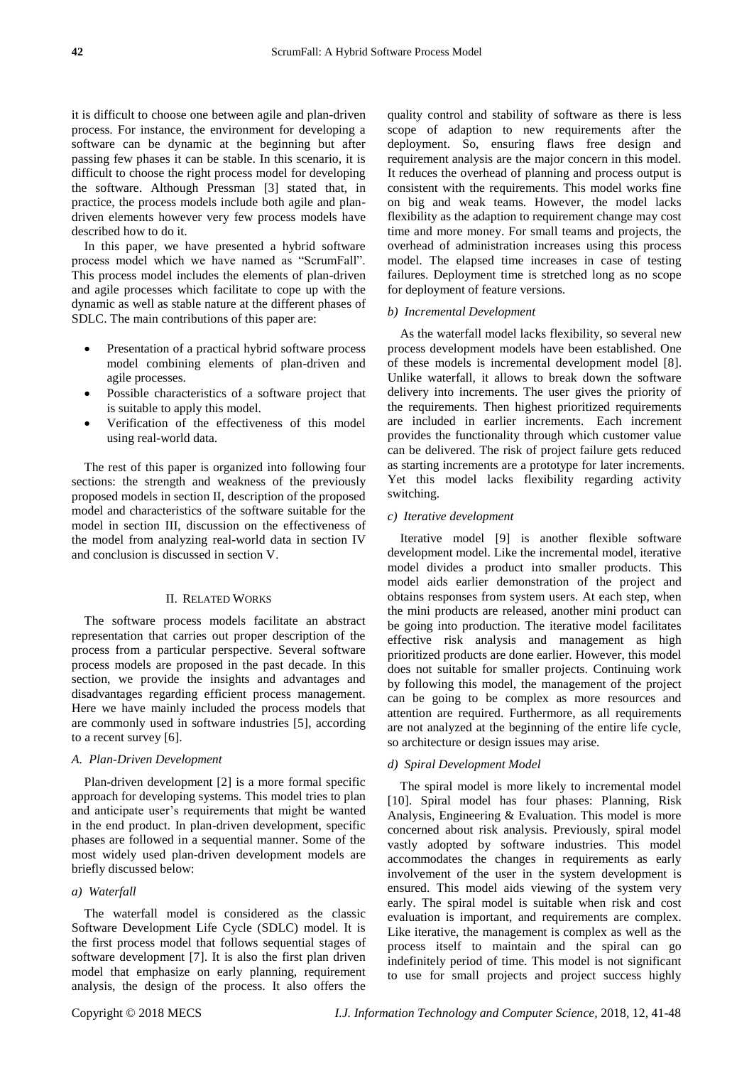it is difficult to choose one between agile and plan-driven process. For instance, the environment for developing a software can be dynamic at the beginning but after passing few phases it can be stable. In this scenario, it is difficult to choose the right process model for developing the software. Although Pressman [3] stated that, in practice, the process models include both agile and plandriven elements however very few process models have described how to do it.

In this paper, we have presented a hybrid software process model which we have named as "ScrumFall". This process model includes the elements of plan-driven and agile processes which facilitate to cope up with the dynamic as well as stable nature at the different phases of SDLC. The main contributions of this paper are:

- Presentation of a practical hybrid software process model combining elements of plan-driven and agile processes.
- Possible characteristics of a software project that is suitable to apply this model.
- Verification of the effectiveness of this model using real-world data.

The rest of this paper is organized into following four sections: the strength and weakness of the previously proposed models in section II, description of the proposed model and characteristics of the software suitable for the model in section III, discussion on the effectiveness of the model from analyzing real-world data in section IV and conclusion is discussed in section V.

## II. RELATED WORKS

The software process models facilitate an abstract representation that carries out proper description of the process from a particular perspective. Several software process models are proposed in the past decade. In this section, we provide the insights and advantages and disadvantages regarding efficient process management. Here we have mainly included the process models that are commonly used in software industries [5], according to a recent survey [6].

#### *A. Plan-Driven Development*

Plan-driven development [2] is a more formal specific approach for developing systems. This model tries to plan and anticipate user's requirements that might be wanted in the end product. In plan-driven development, specific phases are followed in a sequential manner. Some of the most widely used plan-driven development models are briefly discussed below:

## *a) Waterfall*

The waterfall model is considered as the classic Software Development Life Cycle (SDLC) model. It is the first process model that follows sequential stages of software development [7]. It is also the first plan driven model that emphasize on early planning, requirement analysis, the design of the process. It also offers the

quality control and stability of software as there is less scope of adaption to new requirements after the deployment. So, ensuring flaws free design and requirement analysis are the major concern in this model. It reduces the overhead of planning and process output is consistent with the requirements. This model works fine on big and weak teams. However, the model lacks flexibility as the adaption to requirement change may cost time and more money. For small teams and projects, the overhead of administration increases using this process model. The elapsed time increases in case of testing failures. Deployment time is stretched long as no scope for deployment of feature versions.

## *b) Incremental Development*

As the waterfall model lacks flexibility, so several new process development models have been established. One of these models is incremental development model [8]. Unlike waterfall, it allows to break down the software delivery into increments. The user gives the priority of the requirements. Then highest prioritized requirements are included in earlier increments. Each increment provides the functionality through which customer value can be delivered. The risk of project failure gets reduced as starting increments are a prototype for later increments. Yet this model lacks flexibility regarding activity switching.

#### *c) Iterative development*

Iterative model [9] is another flexible software development model. Like the incremental model, iterative model divides a product into smaller products. This model aids earlier demonstration of the project and obtains responses from system users. At each step, when the mini products are released, another mini product can be going into production. The iterative model facilitates effective risk analysis and management as high prioritized products are done earlier. However, this model does not suitable for smaller projects. Continuing work by following this model, the management of the project can be going to be complex as more resources and attention are required. Furthermore, as all requirements are not analyzed at the beginning of the entire life cycle, so architecture or design issues may arise.

#### *d) Spiral Development Model*

The spiral model is more likely to incremental model [10]. Spiral model has four phases: Planning, Risk Analysis, Engineering & Evaluation. This model is more concerned about risk analysis. Previously, spiral model vastly adopted by software industries. This model accommodates the changes in requirements as early involvement of the user in the system development is ensured. This model aids viewing of the system very early. The spiral model is suitable when risk and cost evaluation is important, and requirements are complex. Like iterative, the management is complex as well as the process itself to maintain and the spiral can go indefinitely period of time. This model is not significant to use for small projects and project success highly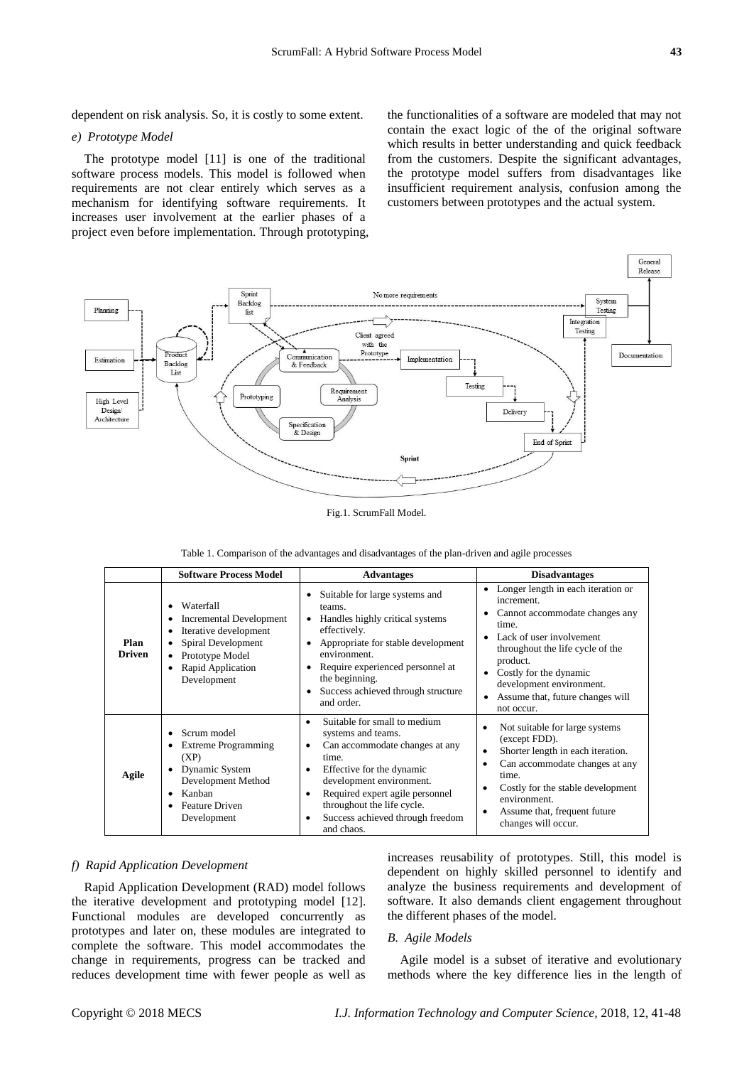dependent on risk analysis. So, it is costly to some extent.

#### *e) Prototype Model*

The prototype model [11] is one of the traditional software process models. This model is followed when requirements are not clear entirely which serves as a mechanism for identifying software requirements. It increases user involvement at the earlier phases of a project even before implementation. Through prototyping, the functionalities of a software are modeled that may not contain the exact logic of the of the original software which results in better understanding and quick feedback from the customers. Despite the significant advantages, the prototype model suffers from disadvantages like insufficient requirement analysis, confusion among the customers between prototypes and the actual system.



Fig.1. ScrumFall Model.

|                       | <b>Software Process Model</b>                                                                                                                           | <b>Advantages</b>                                                                                                                                                                                                                                                                                          | <b>Disadvantages</b>                                                                                                                                                                                                                                                                               |  |
|-----------------------|---------------------------------------------------------------------------------------------------------------------------------------------------------|------------------------------------------------------------------------------------------------------------------------------------------------------------------------------------------------------------------------------------------------------------------------------------------------------------|----------------------------------------------------------------------------------------------------------------------------------------------------------------------------------------------------------------------------------------------------------------------------------------------------|--|
| Plan<br><b>Driven</b> | Waterfall<br>Incremental Development<br>Iterative development<br>Spiral Development<br>Prototype Model<br>$\bullet$<br>Rapid Application<br>Development | Suitable for large systems and<br>teams.<br>Handles highly critical systems<br>effectively.<br>Appropriate for stable development<br>environment.<br>Require experienced personnel at<br>the beginning.<br>Success achieved through structure<br>and order.                                                | Longer length in each iteration or<br>٠<br>increment<br>Cannot accommodate changes any<br>٠<br>time.<br>Lack of user involvement<br>throughout the life cycle of the<br>product.<br>Costly for the dynamic<br>٠<br>development environment.<br>Assume that, future changes will<br>٠<br>not occur. |  |
| Agile                 | Scrum model<br><b>Extreme Programming</b><br>(XP)<br>Dynamic System<br>Development Method<br>Kanban<br><b>Feature Driven</b><br>Development             | Suitable for small to medium<br>$\bullet$<br>systems and teams.<br>Can accommodate changes at any<br>٠<br>time.<br>Effective for the dynamic<br>٠<br>development environment.<br>Required expert agile personnel<br>٠<br>throughout the life cycle.<br>Success achieved through freedom<br>٠<br>and chaos. | Not suitable for large systems<br>(except FDD).<br>Shorter length in each iteration.<br>٠<br>Can accommodate changes at any<br>٠<br>time.<br>Costly for the stable development<br>environment.<br>Assume that, frequent future<br>٠<br>changes will occur.                                         |  |

|  |  |  |  |  |  | Table 1. Comparison of the advantages and disadvantages of the plan-driven and agile processes |
|--|--|--|--|--|--|------------------------------------------------------------------------------------------------|
|--|--|--|--|--|--|------------------------------------------------------------------------------------------------|

#### *f) Rapid Application Development*

Rapid Application Development (RAD) model follows the iterative development and prototyping model [12]. Functional modules are developed concurrently as prototypes and later on, these modules are integrated to complete the software. This model accommodates the change in requirements, progress can be tracked and reduces development time with fewer people as well as increases reusability of prototypes. Still, this model is dependent on highly skilled personnel to identify and analyze the business requirements and development of software. It also demands client engagement throughout the different phases of the model.

## *B. Agile Models*

Agile model is a subset of iterative and evolutionary methods where the key difference lies in the length of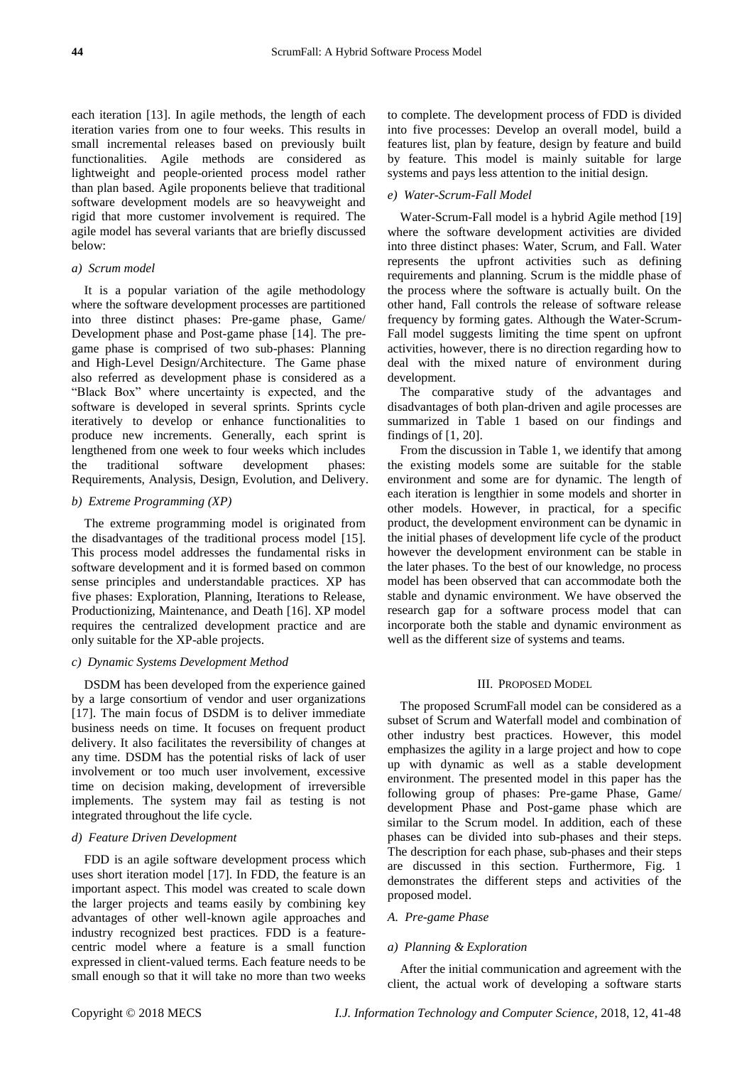each iteration [13]. In agile methods, the length of each iteration varies from one to four weeks. This results in small incremental releases based on previously built functionalities. Agile methods are considered as lightweight and people-oriented process model rather than plan based. Agile proponents believe that traditional software development models are so heavyweight and rigid that more customer involvement is required. The agile model has several variants that are briefly discussed below:

## *a) Scrum model*

It is a popular variation of the agile methodology where the software development processes are partitioned into three distinct phases: Pre-game phase, Game/ Development phase and Post-game phase [14]. The pregame phase is comprised of two sub-phases: Planning and High-Level Design/Architecture. The Game phase also referred as development phase is considered as a "Black Box" where uncertainty is expected, and the software is developed in several sprints. Sprints cycle iteratively to develop or enhance functionalities to produce new increments. Generally, each sprint is lengthened from one week to four weeks which includes the traditional software development phases: Requirements, Analysis, Design, Evolution, and Delivery.

## *b) Extreme Programming (XP)*

The extreme programming model is originated from the disadvantages of the traditional process model [15]. This process model addresses the fundamental risks in software development and it is formed based on common sense principles and understandable practices. XP has five phases: Exploration, Planning, Iterations to Release, Productionizing, Maintenance, and Death [16]. XP model requires the centralized development practice and are only suitable for the XP-able projects.

#### *c) Dynamic Systems Development Method*

DSDM has been developed from the experience gained by a large consortium of vendor and user organizations [17]. The main focus of DSDM is to deliver immediate business needs on time. It focuses on frequent product delivery. It also facilitates the reversibility of changes at any time. DSDM has the potential risks of lack of user involvement or too much user involvement, excessive time on decision making, development of irreversible implements. The system may fail as testing is not integrated throughout the life cycle.

## *d) Feature Driven Development*

FDD is an agile software development process which uses short iteration model [17]. In FDD, the feature is an important aspect. This model was created to scale down the larger projects and teams easily by combining key advantages of other well-known agile approaches and industry recognized best practices. FDD is a featurecentric model where a feature is a small function expressed in client-valued terms. Each feature needs to be small enough so that it will take no more than two weeks

to complete. The development process of FDD is divided into five processes: Develop an overall model, build a features list, plan by feature, design by feature and build by feature. This model is mainly suitable for large systems and pays less attention to the initial design.

## *e) Water-Scrum-Fall Model*

Water-Scrum-Fall model is a hybrid Agile method [19] where the software development activities are divided into three distinct phases: Water, Scrum, and Fall. Water represents the upfront activities such as defining requirements and planning. Scrum is the middle phase of the process where the software is actually built. On the other hand, Fall controls the release of software release frequency by forming gates. Although the Water-Scrum-Fall model suggests limiting the time spent on upfront activities, however, there is no direction regarding how to deal with the mixed nature of environment during development.

The comparative study of the advantages and disadvantages of both plan-driven and agile processes are summarized in Table 1 based on our findings and findings of [1, 20].

From the discussion in Table 1, we identify that among the existing models some are suitable for the stable environment and some are for dynamic. The length of each iteration is lengthier in some models and shorter in other models. However, in practical, for a specific product, the development environment can be dynamic in the initial phases of development life cycle of the product however the development environment can be stable in the later phases. To the best of our knowledge, no process model has been observed that can accommodate both the stable and dynamic environment. We have observed the research gap for a software process model that can incorporate both the stable and dynamic environment as well as the different size of systems and teams.

#### III. PROPOSED MODEL

The proposed ScrumFall model can be considered as a subset of Scrum and Waterfall model and combination of other industry best practices. However, this model emphasizes the agility in a large project and how to cope up with dynamic as well as a stable development environment. The presented model in this paper has the following group of phases: Pre-game Phase, Game/ development Phase and Post-game phase which are similar to the Scrum model. In addition, each of these phases can be divided into sub-phases and their steps. The description for each phase, sub-phases and their steps are discussed in this section. Furthermore, Fig. 1 demonstrates the different steps and activities of the proposed model.

#### *A. Pre-game Phase*

#### *a) Planning & Exploration*

After the initial communication and agreement with the client, the actual work of developing a software starts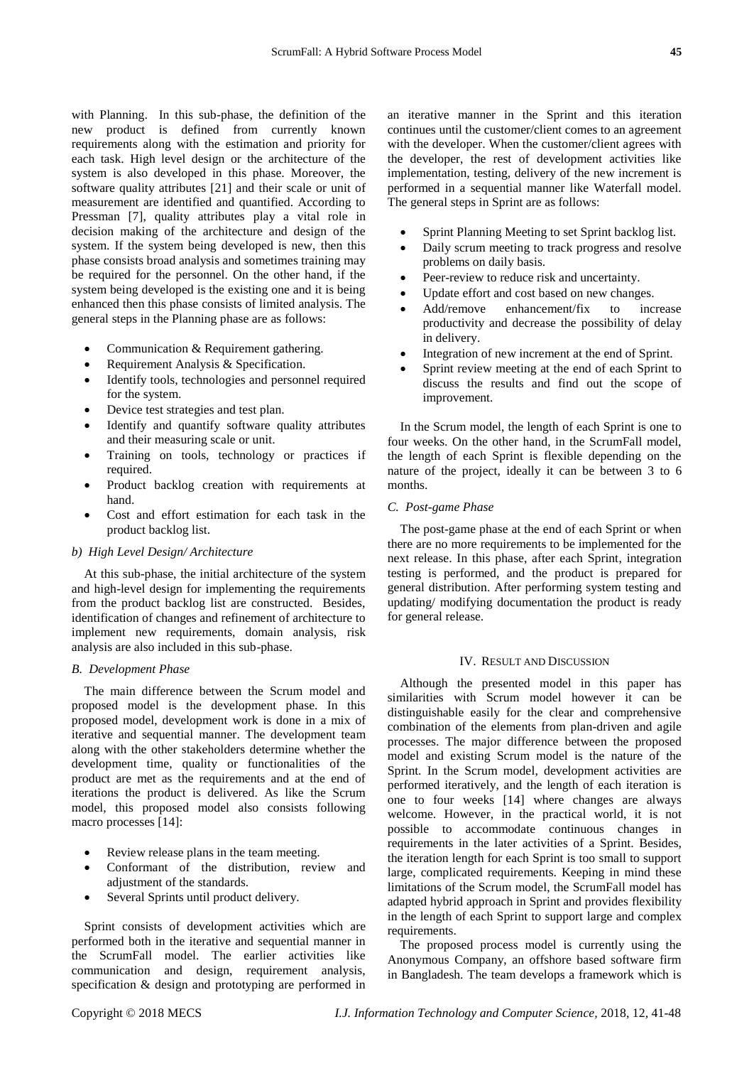with Planning. In this sub-phase, the definition of the new product is defined from currently known requirements along with the estimation and priority for each task. High level design or the architecture of the system is also developed in this phase. Moreover, the software quality attributes [21] and their scale or unit of measurement are identified and quantified. According to Pressman [7], quality attributes play a vital role in decision making of the architecture and design of the system. If the system being developed is new, then this phase consists broad analysis and sometimes training may be required for the personnel. On the other hand, if the system being developed is the existing one and it is being enhanced then this phase consists of limited analysis. The general steps in the Planning phase are as follows:

- Communication & Requirement gathering.
- Requirement Analysis & Specification.
- Identify tools, technologies and personnel required for the system.
- Device test strategies and test plan.
- Identify and quantify software quality attributes and their measuring scale or unit.
- Training on tools, technology or practices if required.
- Product backlog creation with requirements at hand.
- Cost and effort estimation for each task in the product backlog list.

#### *b) High Level Design/ Architecture*

At this sub-phase, the initial architecture of the system and high-level design for implementing the requirements from the product backlog list are constructed. Besides, identification of changes and refinement of architecture to implement new requirements, domain analysis, risk analysis are also included in this sub-phase.

## *B. Development Phase*

The main difference between the Scrum model and proposed model is the development phase. In this proposed model, development work is done in a mix of iterative and sequential manner. The development team along with the other stakeholders determine whether the development time, quality or functionalities of the product are met as the requirements and at the end of iterations the product is delivered. As like the Scrum model, this proposed model also consists following macro processes [14]:

- Review release plans in the team meeting.
- Conformant of the distribution, review and adjustment of the standards.
- Several Sprints until product delivery.

Sprint consists of development activities which are performed both in the iterative and sequential manner in the ScrumFall model. The earlier activities like communication and design, requirement analysis, specification & design and prototyping are performed in an iterative manner in the Sprint and this iteration continues until the customer/client comes to an agreement with the developer. When the customer/client agrees with the developer, the rest of development activities like implementation, testing, delivery of the new increment is performed in a sequential manner like Waterfall model. The general steps in Sprint are as follows:

- Sprint Planning Meeting to set Sprint backlog list.
- Daily scrum meeting to track progress and resolve problems on daily basis.
- Peer-review to reduce risk and uncertainty.
- Update effort and cost based on new changes.
- Add/remove enhancement/fix to increase productivity and decrease the possibility of delay in delivery.
- Integration of new increment at the end of Sprint.
- Sprint review meeting at the end of each Sprint to discuss the results and find out the scope of improvement.

In the Scrum model, the length of each Sprint is one to four weeks. On the other hand, in the ScrumFall model, the length of each Sprint is flexible depending on the nature of the project, ideally it can be between 3 to 6 months.

#### *C. Post-game Phase*

The post-game phase at the end of each Sprint or when there are no more requirements to be implemented for the next release. In this phase, after each Sprint, integration testing is performed, and the product is prepared for general distribution. After performing system testing and updating/ modifying documentation the product is ready for general release.

#### IV. RESULT AND DISCUSSION

Although the presented model in this paper has similarities with Scrum model however it can be distinguishable easily for the clear and comprehensive combination of the elements from plan-driven and agile processes. The major difference between the proposed model and existing Scrum model is the nature of the Sprint. In the Scrum model, development activities are performed iteratively, and the length of each iteration is one to four weeks [14] where changes are always welcome. However, in the practical world, it is not possible to accommodate continuous changes in requirements in the later activities of a Sprint. Besides, the iteration length for each Sprint is too small to support large, complicated requirements. Keeping in mind these limitations of the Scrum model, the ScrumFall model has adapted hybrid approach in Sprint and provides flexibility in the length of each Sprint to support large and complex requirements.

The proposed process model is currently using the Anonymous Company, an offshore based software firm in Bangladesh. The team develops a framework which is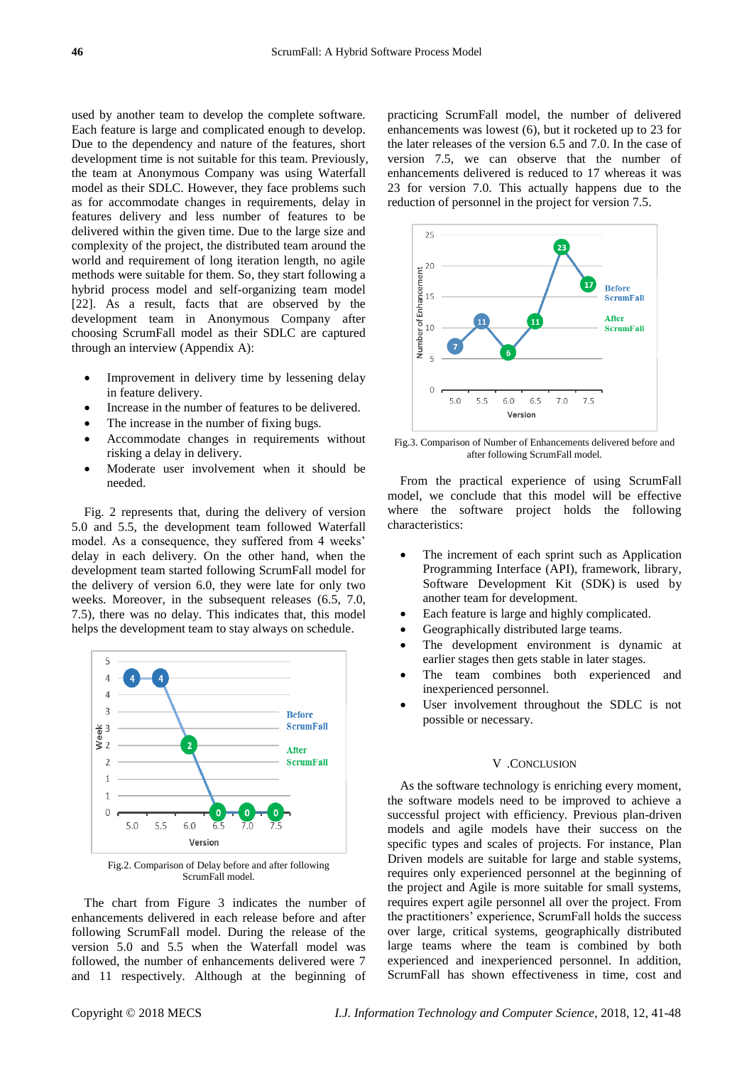used by another team to develop the complete software. Each feature is large and complicated enough to develop. Due to the dependency and nature of the features, short development time is not suitable for this team. Previously, the team at Anonymous Company was using Waterfall model as their SDLC. However, they face problems such as for accommodate changes in requirements, delay in features delivery and less number of features to be delivered within the given time. Due to the large size and complexity of the project, the distributed team around the world and requirement of long iteration length, no agile methods were suitable for them. So, they start following a hybrid process model and self-organizing team model [22]. As a result, facts that are observed by the development team in Anonymous Company after choosing ScrumFall model as their SDLC are captured through an interview (Appendix A):

- Improvement in delivery time by lessening delay in feature delivery.
- Increase in the number of features to be delivered.
- The increase in the number of fixing bugs.
- Accommodate changes in requirements without risking a delay in delivery.
- Moderate user involvement when it should be needed.

Fig. 2 represents that, during the delivery of version 5.0 and 5.5, the development team followed Waterfall model. As a consequence, they suffered from 4 weeks' delay in each delivery. On the other hand, when the development team started following ScrumFall model for the delivery of version 6.0, they were late for only two weeks. Moreover, in the subsequent releases (6.5, 7.0, 7.5), there was no delay. This indicates that, this model helps the development team to stay always on schedule.



Fig.2. Comparison of Delay before and after following ScrumFall model.

The chart from Figure 3 indicates the number of enhancements delivered in each release before and after following ScrumFall model. During the release of the version 5.0 and 5.5 when the Waterfall model was followed, the number of enhancements delivered were 7 and 11 respectively. Although at the beginning of

practicing ScrumFall model, the number of delivered enhancements was lowest (6), but it rocketed up to 23 for the later releases of the version 6.5 and 7.0. In the case of version 7.5, we can observe that the number of enhancements delivered is reduced to 17 whereas it was 23 for version 7.0. This actually happens due to the reduction of personnel in the project for version 7.5.



Fig.3. Comparison of Number of Enhancements delivered before and after following ScrumFall model.

From the practical experience of using ScrumFall model, we conclude that this model will be effective where the software project holds the following characteristics:

- The increment of each sprint such as Application Programming Interface (API), framework, library, Software Development Kit (SDK) is used by another team for development.
- Each feature is large and highly complicated.
- Geographically distributed large teams.
- The development environment is dynamic at earlier stages then gets stable in later stages.
- The team combines both experienced and inexperienced personnel.
- User involvement throughout the SDLC is not possible or necessary.

#### V .CONCLUSION

As the software technology is enriching every moment, the software models need to be improved to achieve a successful project with efficiency. Previous plan-driven models and agile models have their success on the specific types and scales of projects. For instance, Plan Driven models are suitable for large and stable systems, requires only experienced personnel at the beginning of the project and Agile is more suitable for small systems, requires expert agile personnel all over the project. From the practitioners' experience, ScrumFall holds the success over large, critical systems, geographically distributed large teams where the team is combined by both experienced and inexperienced personnel. In addition, ScrumFall has shown effectiveness in time, cost and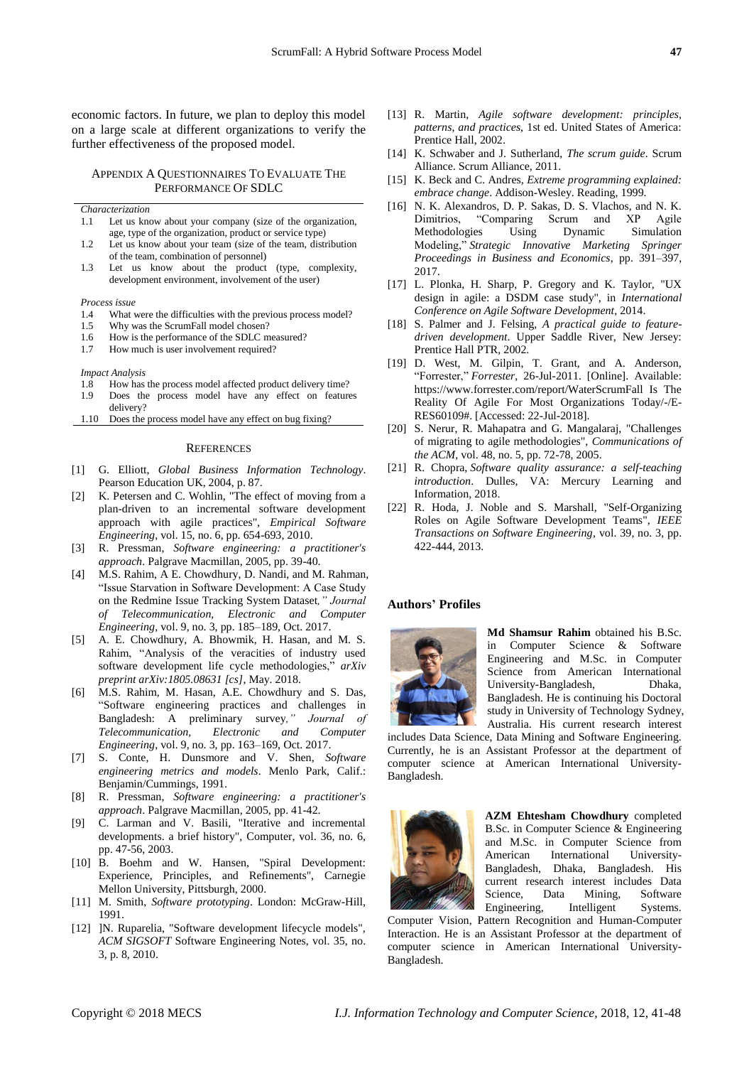economic factors. In future, we plan to deploy this model on a large scale at different organizations to verify the further effectiveness of the proposed model.

APPENDIX A QUESTIONNAIRES TO EVALUATE THE PERFORMANCE OF SDLC

*Characterization*

- 1.1 Let us know about your company (size of the organization, age, type of the organization, product or service type)
- 1.2 Let us know about your team (size of the team, distribution of the team, combination of personnel)
- 1.3 Let us know about the product (type, complexity, development environment, involvement of the user)

*Process issue*

- 1.4 What were the difficulties with the previous process model?<br>1.5 Why was the ScrumFall model chosen?
- 1.5 Why was the ScrumFall model chosen?<br>1.6 How is the performance of the SDLC m
- How is the performance of the SDLC measured?
- 1.7 How much is user involvement required?

*Impact Analysis*

- 1.8 How has the process model affected product delivery time?
- 1.9 Does the process model have any effect on features delivery?

1.10 Does the process model have any effect on bug fixing?

#### **REFERENCES**

- [1] G. Elliott, *Global Business Information Technology*. Pearson Education UK, 2004, p. 87.
- [2] K. Petersen and C. Wohlin, "The effect of moving from a plan-driven to an incremental software development approach with agile practices", *Empirical Software Engineering*, vol. 15, no. 6, pp. 654-693, 2010.
- [3] R. Pressman, *Software engineering: a practitioner's approach*. Palgrave Macmillan, 2005, pp. 39-40.
- [4] M.S. Rahim, A E. Chowdhury, D. Nandi, and M. Rahman, "Issue Starvation in Software Development: A Case Study on the Redmine Issue Tracking System Dataset*," Journal of Telecommunication, Electronic and Computer Engineering*, vol. 9, no. 3, pp. 185–189, Oct. 2017.
- [5] A. E. Chowdhury, A. Bhowmik, H. Hasan, and M. S. Rahim, "Analysis of the veracities of industry used software development life cycle methodologies," *arXiv preprint arXiv:1805.08631 [cs]*, May. 2018.
- [6] M.S. Rahim, M. Hasan, A.E. Chowdhury and S. Das, "Software engineering practices and challenges in Bangladesh: A preliminary survey*," Journal of Telecommunication, Electronic and Computer Engineering*, vol. 9, no. 3, pp. 163–169, Oct. 2017.
- [7] S. Conte, H. Dunsmore and V. Shen, *Software engineering metrics and models*. Menlo Park, Calif.: Benjamin/Cummings, 1991.
- [8] R. Pressman, *Software engineering: a practitioner's approach*. Palgrave Macmillan, 2005, pp. 41-42.
- [9] C. Larman and V. Basili, "Iterative and incremental developments. a brief history", Computer, vol. 36, no. 6, pp. 47-56, 2003.
- [10] B. Boehm and W. Hansen, "Spiral Development: Experience, Principles, and Refinements", Carnegie Mellon University, Pittsburgh, 2000.
- [11] M. Smith, *Software prototyping*. London: McGraw-Hill, 1991.
- [12] ]N. Ruparelia, "Software development lifecycle models", *ACM SIGSOFT* Software Engineering Notes, vol. 35, no. 3, p. 8, 2010.
- [13] R. Martin, *Agile software development: principles, patterns, and practices*, 1st ed. United States of America: Prentice Hall, 2002.
- [14] K. Schwaber and J. Sutherland, *The scrum guide*. Scrum Alliance. Scrum Alliance, 2011.
- [15] K. Beck and C. Andres, *Extreme programming explained: embrace change*. Addison-Wesley. Reading, 1999.
- [16] N. K. Alexandros, D. P. Sakas, D. S. Vlachos, and N. K. Dimitrios, "Comparing Scrum and XP Agile Methodologies Using Dynamic Simulation Modeling," *Strategic Innovative Marketing Springer Proceedings in Business and Economics*, pp. 391–397, 2017.
- [17] L. Plonka, H. Sharp, P. Gregory and K. Taylor, "UX design in agile: a DSDM case study", in *International Conference on Agile Software Development*, 2014.
- [18] S. Palmer and J. Felsing, *A practical guide to featuredriven development*. Upper Saddle River, New Jersey: Prentice Hall PTR, 2002.
- [19] D. West, M. Gilpin, T. Grant, and A. Anderson, "Forrester," *Forrester*, 26-Jul-2011. [Online]. Available: https://www.forrester.com/report/WaterScrumFall Is The Reality Of Agile For Most Organizations Today/-/E-RES60109#. [Accessed: 22-Jul-2018].
- [20] S. Nerur, R. Mahapatra and G. Mangalaraj, "Challenges of migrating to agile methodologies", *Communications of the ACM*, vol. 48, no. 5, pp. 72-78, 2005.
- [21] R. Chopra, *Software quality assurance: a self-teaching introduction*. Dulles, VA: Mercury Learning and Information, 2018.
- [22] R. Hoda, J. Noble and S. Marshall, "Self-Organizing Roles on Agile Software Development Teams", *IEEE Transactions on Software Engineering*, vol. 39, no. 3, pp. 422-444, 2013.

#### **Authors' Profiles**



**Md Shamsur Rahim** obtained his B.Sc. in Computer Science & Software Engineering and M.Sc. in Computer Science from American International University-Bangladesh, Dhaka, Bangladesh. He is continuing his Doctoral study in University of Technology Sydney, Australia. His current research interest

includes Data Science, Data Mining and Software Engineering. Currently, he is an Assistant Professor at the department of computer science at American International University-Bangladesh.



**AZM Ehtesham Chowdhury** completed B.Sc. in Computer Science & Engineering and M.Sc. in Computer Science from American International University-Bangladesh, Dhaka, Bangladesh. His current research interest includes Data Science, Data Mining, Software Engineering, Intelligent Systems.

Computer Vision, Pattern Recognition and Human-Computer Interaction. He is an Assistant Professor at the department of computer science in American International University-Bangladesh.